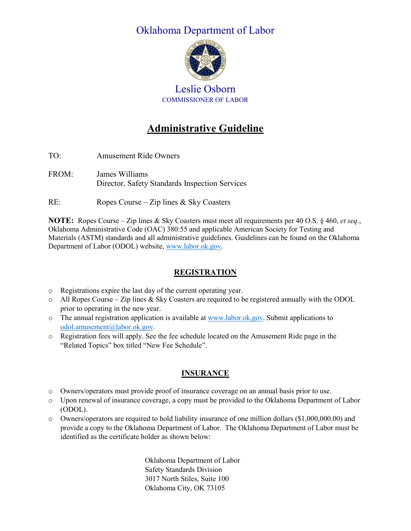## Oklahoma Department of Labor



Leslie Osborn COMMISSIONER OF LABOR

# **Administrative Guideline**

- TO: Amusement Ride Owners
- FROM: James Williams Director, Safety Standards Inspection Services

RE: Ropes Course – Zip lines & Sky Coasters

**NOTE:** Ropes Course – Zip lines & Sky Coasters must meet all requirements per 40 O.S. § 460, *et seq*., Oklahoma Administrative Code (OAC) 380:55 and applicable American Society for Testing and Materials (ASTM) standards and all administrative guidelines. Guidelines can be found on the Oklahoma Department of Labor (ODOL) website, [www.labor.ok.gov.](http://www.labor.ok.gov/)

## **REGISTRATION**

- o Registrations expire the last day of the current operating year.
- o All Ropes Course Zip lines & Sky Coasters are required to be registered annually with the ODOL prior to operating in the new year.
- $\circ$  The annual registration application is available a[t www.labor.ok.gov.](http://www.labor.ok.gov/) Submit applications to [odol.amusement@labor.ok.gov.](mailto:odol.amusement@labor.ok.gov)
- o Registration fees will apply. See the fee schedule located on the Amusement Ride page in the "Related Topics" box titled "New Fee Schedule".

## **INSURANCE**

- o Owners/operators must provide proof of insurance coverage on an annual basis prior to use.
- o Upon renewal of insurance coverage, a copy must be provided to the Oklahoma Department of Labor (ODOL).
- o Owners/operators are required to hold liability insurance of one million dollars (\$1,000,000.00) and provide a copy to the Oklahoma Department of Labor. The Oklahoma Department of Labor must be identified as the certificate holder as shown below:

Oklahoma Department of Labor Safety Standards Division 3017 North Stiles, Suite 100 Oklahoma City, OK 73105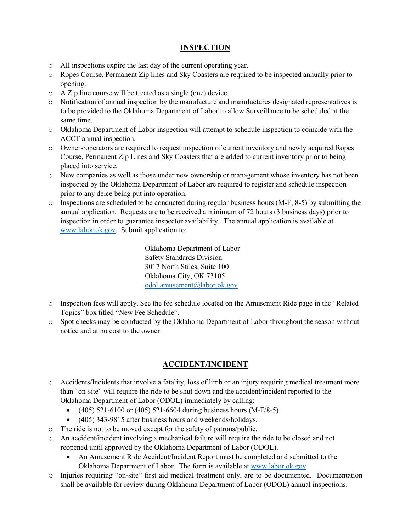#### **INSPECTION**

- o All inspections expire the last day of the current operating year.
- o Ropes Course, Permanent Zip lines and Sky Coasters are required to be inspected annually prior to opening.
- o A Zip line course will be treated as a single (one) device.
- o Notification of annual inspection by the manufacture and manufactures designated representatives is to be provided to the Oklahoma Department of Labor to allow Surveillance to be scheduled at the same time.
- o Oklahoma Department of Labor inspection will attempt to schedule inspection to coincide with the ACCT annual inspection.
- o Owners/operators are required to request inspection of current inventory and newly acquired Ropes Course, Permanent Zip Lines and Sky Coasters that are added to current inventory prior to being placed into service.
- o New companies as well as those under new ownership or management whose inventory has not been inspected by the Oklahoma Department of Labor are required to register and schedule inspection prior to any deice being put into operation.
- o Inspections are scheduled to be conducted during regular business hours (M-F, 8-5) by submitting the annual application. Requests are to be received a minimum of 72 hours (3 business days) prior to inspection in order to guarantee inspector availability. The annual application is available at [www.labor.ok.gov.](http://www.labor.ok.gov/) Submit application to:

Oklahoma Department of Labor Safety Standards Division 3017 North Stiles, Suite 100 Oklahoma City, OK 73105 [odol.amusement@labor.ok.gov](mailto:odol.amusement@labor.ok.gov)

- o Inspection fees will apply. See the fee schedule located on the Amusement Ride page in the "Related Topics" box titled "New Fee Schedule".
- o Spot checks may be conducted by the Oklahoma Department of Labor throughout the season without notice and at no cost to the owner

#### **ACCIDENT/INCIDENT**

- o Accidents/Incidents that involve a fatality, loss of limb or an injury requiring medical treatment more than "on-site" will require the ride to be shut down and the accident/incident reported to the Oklahoma Department of Labor (ODOL) immediately by calling:
	- (405) 521-6100 or (405) 521-6604 during business hours (M-F/8-5)
	- (405) 343-9815 after business hours and weekends/holidays.
- o The ride is not to be moved except for the safety of patrons/public.
- o An accident/incident involving a mechanical failure will require the ride to be closed and not reopened until approved by the Oklahoma Department of Labor (ODOL).
	- An Amusement Ride Accident/Incident Report must be completed and submitted to the Oklahoma Department of Labor. The form is available at [www.labor.ok.gov](http://www.labor.ok.gov/)
- o Injuries requiring "on-site" first aid medical treatment only, are to be documented. Documentation shall be available for review during Oklahoma Department of Labor (ODOL) annual inspections.